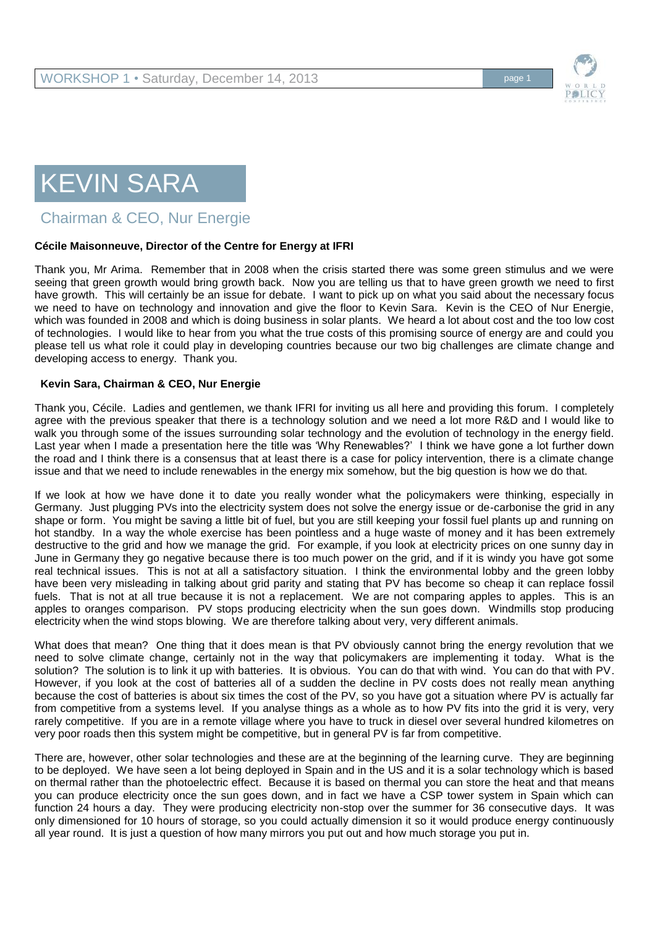

## KEVIN SARA

Chairman & CEO, Nur Energie

## **Cécile Maisonneuve, Director of the Centre for Energy at IFRI**

Thank you, Mr Arima. Remember that in 2008 when the crisis started there was some green stimulus and we were seeing that green growth would bring growth back. Now you are telling us that to have green growth we need to first have growth. This will certainly be an issue for debate. I want to pick up on what you said about the necessary focus we need to have on technology and innovation and give the floor to Kevin Sara. Kevin is the CEO of Nur Energie, which was founded in 2008 and which is doing business in solar plants. We heard a lot about cost and the too low cost of technologies. I would like to hear from you what the true costs of this promising source of energy are and could you please tell us what role it could play in developing countries because our two big challenges are climate change and developing access to energy. Thank you.

## **Kevin Sara, Chairman & CEO, Nur Energie**

Thank you, Cécile. Ladies and gentlemen, we thank IFRI for inviting us all here and providing this forum. I completely agree with the previous speaker that there is a technology solution and we need a lot more R&D and I would like to walk you through some of the issues surrounding solar technology and the evolution of technology in the energy field. Last year when I made a presentation here the title was 'Why Renewables?' I think we have gone a lot further down the road and I think there is a consensus that at least there is a case for policy intervention, there is a climate change issue and that we need to include renewables in the energy mix somehow, but the big question is how we do that.

If we look at how we have done it to date you really wonder what the policymakers were thinking, especially in Germany. Just plugging PVs into the electricity system does not solve the energy issue or de-carbonise the grid in any shape or form. You might be saving a little bit of fuel, but you are still keeping your fossil fuel plants up and running on hot standby. In a way the whole exercise has been pointless and a huge waste of money and it has been extremely destructive to the grid and how we manage the grid. For example, if you look at electricity prices on one sunny day in June in Germany they go negative because there is too much power on the grid, and if it is windy you have got some real technical issues. This is not at all a satisfactory situation. I think the environmental lobby and the green lobby have been very misleading in talking about grid parity and stating that PV has become so cheap it can replace fossil fuels. That is not at all true because it is not a replacement. We are not comparing apples to apples. This is an apples to oranges comparison. PV stops producing electricity when the sun goes down. Windmills stop producing electricity when the wind stops blowing. We are therefore talking about very, very different animals.

What does that mean? One thing that it does mean is that PV obviously cannot bring the energy revolution that we need to solve climate change, certainly not in the way that policymakers are implementing it today. What is the solution? The solution is to link it up with batteries. It is obvious. You can do that with wind. You can do that with PV. However, if you look at the cost of batteries all of a sudden the decline in PV costs does not really mean anything because the cost of batteries is about six times the cost of the PV, so you have got a situation where PV is actually far from competitive from a systems level. If you analyse things as a whole as to how PV fits into the grid it is very, very rarely competitive. If you are in a remote village where you have to truck in diesel over several hundred kilometres on very poor roads then this system might be competitive, but in general PV is far from competitive.

There are, however, other solar technologies and these are at the beginning of the learning curve. They are beginning to be deployed. We have seen a lot being deployed in Spain and in the US and it is a solar technology which is based on thermal rather than the photoelectric effect. Because it is based on thermal you can store the heat and that means you can produce electricity once the sun goes down, and in fact we have a CSP tower system in Spain which can function 24 hours a day. They were producing electricity non-stop over the summer for 36 consecutive days. It was only dimensioned for 10 hours of storage, so you could actually dimension it so it would produce energy continuously all year round. It is just a question of how many mirrors you put out and how much storage you put in.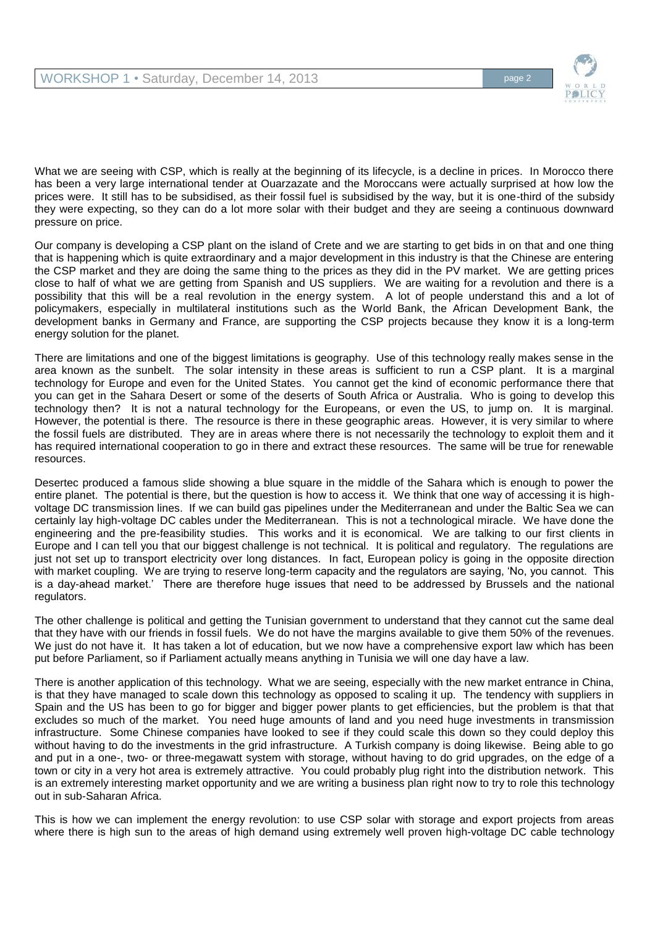

What we are seeing with CSP, which is really at the beginning of its lifecycle, is a decline in prices. In Morocco there has been a very large international tender at Ouarzazate and the Moroccans were actually surprised at how low the prices were. It still has to be subsidised, as their fossil fuel is subsidised by the way, but it is one-third of the subsidy they were expecting, so they can do a lot more solar with their budget and they are seeing a continuous downward pressure on price.

Our company is developing a CSP plant on the island of Crete and we are starting to get bids in on that and one thing that is happening which is quite extraordinary and a major development in this industry is that the Chinese are entering the CSP market and they are doing the same thing to the prices as they did in the PV market. We are getting prices close to half of what we are getting from Spanish and US suppliers. We are waiting for a revolution and there is a possibility that this will be a real revolution in the energy system. A lot of people understand this and a lot of policymakers, especially in multilateral institutions such as the World Bank, the African Development Bank, the development banks in Germany and France, are supporting the CSP projects because they know it is a long-term energy solution for the planet.

There are limitations and one of the biggest limitations is geography. Use of this technology really makes sense in the area known as the sunbelt. The solar intensity in these areas is sufficient to run a CSP plant. It is a marginal technology for Europe and even for the United States. You cannot get the kind of economic performance there that you can get in the Sahara Desert or some of the deserts of South Africa or Australia. Who is going to develop this technology then? It is not a natural technology for the Europeans, or even the US, to jump on. It is marginal. However, the potential is there. The resource is there in these geographic areas. However, it is very similar to where the fossil fuels are distributed. They are in areas where there is not necessarily the technology to exploit them and it has required international cooperation to go in there and extract these resources. The same will be true for renewable resources.

Desertec produced a famous slide showing a blue square in the middle of the Sahara which is enough to power the entire planet. The potential is there, but the question is how to access it. We think that one way of accessing it is highvoltage DC transmission lines. If we can build gas pipelines under the Mediterranean and under the Baltic Sea we can certainly lay high-voltage DC cables under the Mediterranean. This is not a technological miracle. We have done the engineering and the pre-feasibility studies. This works and it is economical. We are talking to our first clients in Europe and I can tell you that our biggest challenge is not technical. It is political and regulatory. The regulations are just not set up to transport electricity over long distances. In fact, European policy is going in the opposite direction with market coupling. We are trying to reserve long-term capacity and the regulators are saying, 'No, you cannot. This is a day-ahead market.' There are therefore huge issues that need to be addressed by Brussels and the national regulators.

The other challenge is political and getting the Tunisian government to understand that they cannot cut the same deal that they have with our friends in fossil fuels. We do not have the margins available to give them 50% of the revenues. We just do not have it. It has taken a lot of education, but we now have a comprehensive export law which has been put before Parliament, so if Parliament actually means anything in Tunisia we will one day have a law.

There is another application of this technology. What we are seeing, especially with the new market entrance in China, is that they have managed to scale down this technology as opposed to scaling it up. The tendency with suppliers in Spain and the US has been to go for bigger and bigger power plants to get efficiencies, but the problem is that that excludes so much of the market. You need huge amounts of land and you need huge investments in transmission infrastructure. Some Chinese companies have looked to see if they could scale this down so they could deploy this without having to do the investments in the grid infrastructure. A Turkish company is doing likewise. Being able to go and put in a one-, two- or three-megawatt system with storage, without having to do grid upgrades, on the edge of a town or city in a very hot area is extremely attractive. You could probably plug right into the distribution network. This is an extremely interesting market opportunity and we are writing a business plan right now to try to role this technology out in sub-Saharan Africa.

This is how we can implement the energy revolution: to use CSP solar with storage and export projects from areas where there is high sun to the areas of high demand using extremely well proven high-voltage DC cable technology